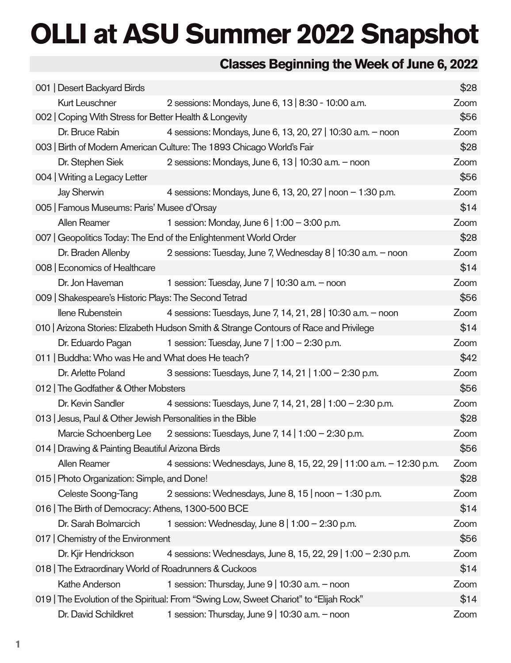# **OLLI at ASU Summer 2022 Snapshot**

### **Classes Beginning the Week of June 6, 2022**

| 001   Desert Backyard Birds                                                            |                                                                                        | \$28 |  |
|----------------------------------------------------------------------------------------|----------------------------------------------------------------------------------------|------|--|
| <b>Kurt Leuschner</b><br>2 sessions: Mondays, June 6, 13   8:30 - 10:00 a.m.           |                                                                                        |      |  |
| 002   Coping With Stress for Better Health & Longevity                                 |                                                                                        | \$56 |  |
| Dr. Bruce Rabin                                                                        | 4 sessions: Mondays, June 6, 13, 20, 27   10:30 a.m. - noon                            | Zoom |  |
| 003   Birth of Modern American Culture: The 1893 Chicago World's Fair                  |                                                                                        |      |  |
| Dr. Stephen Siek                                                                       | 2 sessions: Mondays, June 6, 13   10:30 a.m. - noon                                    |      |  |
| 004   Writing a Legacy Letter                                                          |                                                                                        | \$56 |  |
| <b>Jay Sherwin</b>                                                                     | 4 sessions: Mondays, June 6, 13, 20, 27   noon - 1:30 p.m.                             | Zoom |  |
| 005   Famous Museums: Paris' Musee d'Orsay                                             |                                                                                        | \$14 |  |
| <b>Allen Reamer</b>                                                                    | 1 session: Monday, June 6   1:00 - 3:00 p.m.                                           | Zoom |  |
|                                                                                        | 007   Geopolitics Today: The End of the Enlightenment World Order                      | \$28 |  |
| Dr. Braden Allenby                                                                     | 2 sessions: Tuesday, June 7, Wednesday 8   10:30 a.m. - noon                           | Zoom |  |
| 008   Economics of Healthcare                                                          |                                                                                        | \$14 |  |
| Dr. Jon Haveman                                                                        | 1 session: Tuesday, June 7   10:30 a.m. - noon                                         | Zoom |  |
| 009   Shakespeare's Historic Plays: The Second Tetrad                                  |                                                                                        | \$56 |  |
| Ilene Rubenstein                                                                       | 4 sessions: Tuesdays, June 7, 14, 21, 28   10:30 a.m. - noon                           | Zoom |  |
|                                                                                        | 010   Arizona Stories: Elizabeth Hudson Smith & Strange Contours of Race and Privilege | \$14 |  |
| Dr. Eduardo Pagan                                                                      | 1 session: Tuesday, June $7 \mid 1:00 - 2:30$ p.m.                                     | Zoom |  |
| 011   Buddha: Who was He and What does He teach?                                       |                                                                                        | \$42 |  |
| Dr. Arlette Poland                                                                     | 3 sessions: Tuesdays, June 7, 14, 21   1:00 - 2:30 p.m.                                | Zoom |  |
| 012   The Godfather & Other Mobsters                                                   |                                                                                        | \$56 |  |
| Dr. Kevin Sandler                                                                      | 4 sessions: Tuesdays, June 7, 14, 21, 28   1:00 - 2:30 p.m.                            | Zoom |  |
| 013   Jesus, Paul & Other Jewish Personalities in the Bible                            |                                                                                        | \$28 |  |
|                                                                                        | Marcie Schoenberg Lee 2 sessions: Tuesdays, June 7, 14   1:00 - 2:30 p.m.              | Zoom |  |
| \$56<br>014   Drawing & Painting Beautiful Arizona Birds                               |                                                                                        |      |  |
| <b>Allen Reamer</b>                                                                    | 4 sessions: Wednesdays, June 8, 15, 22, 29   11:00 a.m. - 12:30 p.m.                   | Zoom |  |
| 015   Photo Organization: Simple, and Done!                                            |                                                                                        | \$28 |  |
| Celeste Soong-Tang                                                                     | 2 sessions: Wednesdays, June 8, 15   noon - 1:30 p.m.                                  | Zoom |  |
| 016   The Birth of Democracy: Athens, 1300-500 BCE                                     |                                                                                        | \$14 |  |
| Dr. Sarah Bolmarcich                                                                   | 1 session: Wednesday, June 8   1:00 - 2:30 p.m.                                        | Zoom |  |
| 017   Chemistry of the Environment                                                     |                                                                                        | \$56 |  |
| Dr. Kjir Hendrickson                                                                   | 4 sessions: Wednesdays, June 8, 15, 22, 29   1:00 - 2:30 p.m.                          | Zoom |  |
| 018   The Extraordinary World of Roadrunners & Cuckoos                                 |                                                                                        | \$14 |  |
| Kathe Anderson                                                                         | 1 session: Thursday, June 9   10:30 a.m. - noon                                        |      |  |
| 019   The Evolution of the Spiritual: From "Swing Low, Sweet Chariot" to "Elijah Rock" |                                                                                        |      |  |
| Dr. David Schildkret                                                                   | 1 session: Thursday, June 9   10:30 a.m. - noon                                        | Zoom |  |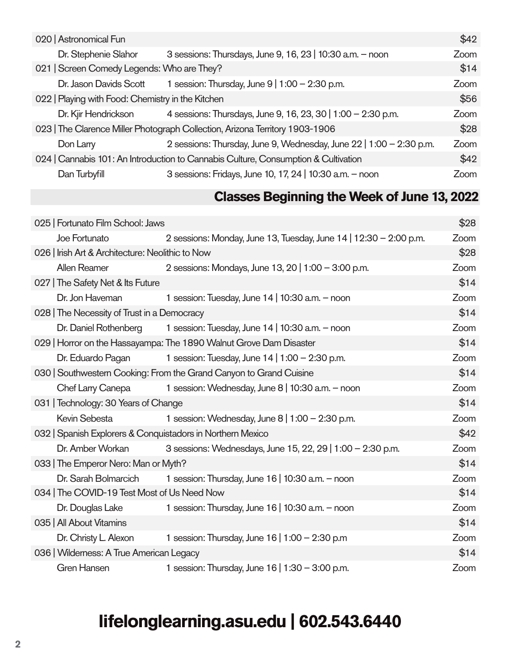| 020   Astronomical Fun                                                               |                                                                     |      |  |  |
|--------------------------------------------------------------------------------------|---------------------------------------------------------------------|------|--|--|
| Dr. Stephenie Slahor                                                                 | 3 sessions: Thursdays, June 9, 16, 23   10:30 a.m. - noon           | Zoom |  |  |
| 021   Screen Comedy Legends: Who are They?                                           |                                                                     |      |  |  |
| Dr. Jason Davids Scott                                                               | 1 session: Thursday, June $9 \mid 1:00 - 2:30$ p.m.                 |      |  |  |
| 022   Playing with Food: Chemistry in the Kitchen                                    |                                                                     |      |  |  |
| 4 sessions: Thursdays, June 9, 16, 23, 30   1:00 - 2:30 p.m.<br>Dr. Kjir Hendrickson |                                                                     |      |  |  |
| 023   The Clarence Miller Photograph Collection, Arizona Territory 1903-1906         |                                                                     |      |  |  |
| Don Larry                                                                            | 2 sessions: Thursday, June 9, Wednesday, June 22   1:00 - 2:30 p.m. | Zoom |  |  |
| 024   Cannabis 101: An Introduction to Cannabis Culture, Consumption & Cultivation   |                                                                     |      |  |  |
| Dan Turbyfill                                                                        | 3 sessions: Fridays, June 10, 17, 24   10:30 a.m. - noon            | Zoom |  |  |

#### **Classes Beginning the Week of June 13, 2022**

| 025   Fortunato Film School: Jaws                                     |                                                                    | \$28 |  |
|-----------------------------------------------------------------------|--------------------------------------------------------------------|------|--|
| Joe Fortunato                                                         | 2 sessions: Monday, June 13, Tuesday, June 14   12:30 - 2:00 p.m.  |      |  |
| 026   Irish Art & Architecture: Neolithic to Now                      |                                                                    |      |  |
| Allen Reamer                                                          | 2 sessions: Mondays, June 13, 20   1:00 - 3:00 p.m.                | Zoom |  |
| 027   The Safety Net & Its Future                                     |                                                                    | \$14 |  |
| Dr. Jon Haveman                                                       | 1 session: Tuesday, June $14$   10:30 a.m. - noon                  | Zoom |  |
| 028   The Necessity of Trust in a Democracy                           |                                                                    | \$14 |  |
| Dr. Daniel Rothenberg                                                 | 1 session: Tuesday, June $14$   10:30 a.m. $-$ noon                | Zoom |  |
|                                                                       | 029   Horror on the Hassayampa: The 1890 Walnut Grove Dam Disaster | \$14 |  |
| Dr. Eduardo Pagan                                                     | 1 session: Tuesday, June 14   1:00 - 2:30 p.m.                     | Zoom |  |
| 030   Southwestern Cooking: From the Grand Canyon to Grand Cuisine    |                                                                    |      |  |
| Chef Larry Canepa                                                     | 1 session: Wednesday, June 8   10:30 a.m. - noon                   | Zoom |  |
| 031   Technology: 30 Years of Change                                  |                                                                    | \$14 |  |
| Kevin Sebesta<br>1 session: Wednesday, June $8 \mid 1:00 - 2:30$ p.m. |                                                                    | Zoom |  |
| 032   Spanish Explorers & Conquistadors in Northern Mexico            |                                                                    |      |  |
| Dr. Amber Workan                                                      | 3 sessions: Wednesdays, June 15, 22, 29   1:00 - 2:30 p.m.         | Zoom |  |
| 033   The Emperor Nero: Man or Myth?                                  |                                                                    |      |  |
| Dr. Sarah Bolmarcich                                                  | 1 session: Thursday, June $16 \mid 10:30$ a.m. $-$ noon            | Zoom |  |
|                                                                       | 034   The COVID-19 Test Most of Us Need Now                        |      |  |
| Dr. Douglas Lake                                                      | 1 session: Thursday, June 16   10:30 a.m. - noon                   | Zoom |  |
| 035   All About Vitamins                                              |                                                                    | \$14 |  |
| Dr. Christy L. Alexon                                                 | 1 session: Thursday, June 16   1:00 - 2:30 p.m                     | Zoom |  |
| 036   Wilderness: A True American Legacy                              |                                                                    |      |  |
| <b>Gren Hansen</b>                                                    | 1 session: Thursday, June 16   1:30 - 3:00 p.m.                    | Zoom |  |

## **lifelonglearning.asu.edu | 602.543.6440**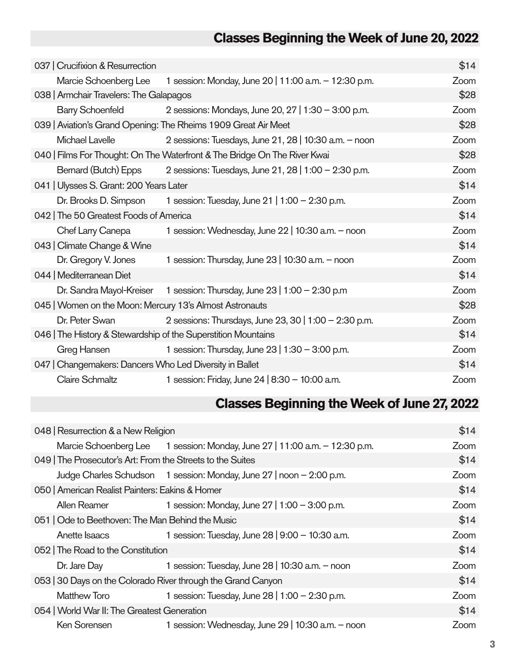### **Classes Beginning the Week of June 20, 2022**

| 037   Crucifixion & Resurrection                                          |                                                       | \$14 |  |  |
|---------------------------------------------------------------------------|-------------------------------------------------------|------|--|--|
| Marcie Schoenberg Lee                                                     | 1 session: Monday, June 20   11:00 a.m. - 12:30 p.m.  |      |  |  |
| 038   Armchair Travelers: The Galapagos                                   | \$28                                                  |      |  |  |
| <b>Barry Schoenfeld</b>                                                   | 2 sessions: Mondays, June 20, 27   1:30 - 3:00 p.m.   |      |  |  |
| 039   Aviation's Grand Opening: The Rheims 1909 Great Air Meet            | \$28                                                  |      |  |  |
| Michael Lavelle                                                           | 2 sessions: Tuesdays, June 21, 28   10:30 a.m. - noon |      |  |  |
| 040   Films For Thought: On The Waterfront & The Bridge On The River Kwai | \$28                                                  |      |  |  |
| Bernard (Butch) Epps                                                      | 2 sessions: Tuesdays, June 21, 28   1:00 - 2:30 p.m.  |      |  |  |
| 041   Ulysses S. Grant: 200 Years Later                                   | \$14                                                  |      |  |  |
| Dr. Brooks D. Simpson                                                     | Zoom                                                  |      |  |  |
| 042   The 50 Greatest Foods of America                                    | \$14                                                  |      |  |  |
| Chef Larry Canepa<br>1 session: Wednesday, June 22   10:30 a.m. - noon    |                                                       | Zoom |  |  |
| 043   Climate Change & Wine                                               |                                                       | \$14 |  |  |
| Dr. Gregory V. Jones                                                      | 1 session: Thursday, June 23   10:30 a.m. - noon      | Zoom |  |  |
| 044   Mediterranean Diet                                                  |                                                       | \$14 |  |  |
| Dr. Sandra Mayol-Kreiser                                                  | 1 session: Thursday, June 23   1:00 - 2:30 p.m        | Zoom |  |  |
| 045   Women on the Moon: Mercury 13's Almost Astronauts                   |                                                       |      |  |  |
| Dr. Peter Swan                                                            | 2 sessions: Thursdays, June 23, 30   1:00 - 2:30 p.m. | Zoom |  |  |
| 046   The History & Stewardship of the Superstition Mountains             |                                                       |      |  |  |
| Greg Hansen                                                               | 1 session: Thursday, June 23   1:30 - 3:00 p.m.       | Zoom |  |  |
| 047   Changemakers: Dancers Who Led Diversity in Ballet                   |                                                       |      |  |  |
| <b>Claire Schmaltz</b>                                                    | 1 session: Friday, June 24   8:30 - 10:00 a.m.        | Zoom |  |  |

### **Classes Beginning the Week of June 27, 2022**

| 048   Resurrection & a New Religion                               |                                                                            |      |  |  |
|-------------------------------------------------------------------|----------------------------------------------------------------------------|------|--|--|
|                                                                   | Marcie Schoenberg Lee 1 session: Monday, June 27   11:00 a.m. - 12:30 p.m. | Zoom |  |  |
| 049   The Prosecutor's Art: From the Streets to the Suites        | \$14                                                                       |      |  |  |
|                                                                   | Judge Charles Schudson 1 session: Monday, June 27   noon - 2:00 p.m.       |      |  |  |
| 050   American Realist Painters: Eakins & Homer                   | \$14                                                                       |      |  |  |
| Allen Reamer                                                      | Zoom                                                                       |      |  |  |
| 051   Ode to Beethoven: The Man Behind the Music                  | \$14                                                                       |      |  |  |
| Anette Isaacs                                                     | Zoom                                                                       |      |  |  |
| 052   The Road to the Constitution                                | \$14                                                                       |      |  |  |
| Dr. Jare Day                                                      | 1 session: Tuesday, June $28$   10:30 a.m. $-$ noon                        | Zoom |  |  |
| 053   30 Days on the Colorado River through the Grand Canyon      | \$14                                                                       |      |  |  |
| <b>Matthew Toro</b>                                               | 1 session: Tuesday, June 28   1:00 - 2:30 p.m.                             | Zoom |  |  |
| 054   World War II: The Greatest Generation                       | \$14                                                                       |      |  |  |
| Ken Sorensen<br>1 session: Wednesday, June 29   10:30 a.m. - noon |                                                                            |      |  |  |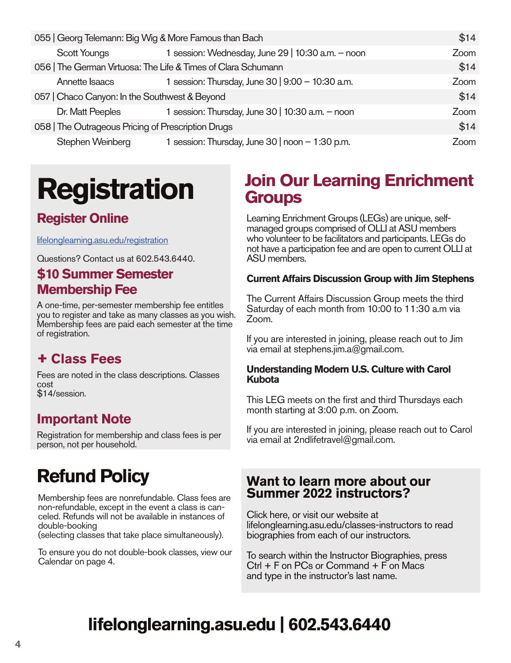| 055   Georg Telemann: Big Wig & More Famous than Bach         |                                                   |      |
|---------------------------------------------------------------|---------------------------------------------------|------|
| <b>Scott Youngs</b>                                           | 1 session: Wednesday, June 29   10:30 a.m. - noon | Zoom |
| 056   The German Virtuosa: The Life & Times of Clara Schumann |                                                   |      |
| Annette Isaacs                                                | 1 session: Thursday, June 30   9:00 - 10:30 a.m.  | Zoom |
| 057   Chaco Canyon: In the Southwest & Beyond                 | \$14                                              |      |
| Dr. Matt Peeples                                              | 1 session: Thursday, June 30   10:30 a.m. - noon  | Zoom |
| 058   The Outrageous Pricing of Prescription Drugs            | \$14                                              |      |
| Stephen Weinberg                                              | 1 session: Thursday, June 30   noon – 1:30 p.m.   | Zoom |

# **Registration**

#### **Register Online**

lifelonglearning.asu.edu/registration

Questions? Contact us at 602.543.6440.

#### **\$10 Summer Semester Membership Fee**

A one-time, per-semester membership fee entitles you to register and take as many classes as you wish. Membership fees are paid each semester at the time of registration.

#### **+ Class Fees**

Fees are noted in the class descriptions. Classes cost \$14/session.

#### **Important Note**

Registration for membership and class fees is per person, not per household.

## **Refund Policy**

Membership fees are nonrefundable. Class fees are non-refundable, except in the event a class is can- celed. Refunds will not be available in instances of double-booking

(selecting classes that take place simultaneously).

To ensure you do not double-book classes, view our Calendar on page 4.

### **Join Our Learning Enrichment Groups**

Learning Enrichment Groups (LEGs) are unique, selfmanaged groups comprised of OLLI at ASU members who volunteer to be facilitators and participants. LEGs do not have a participation fee and are open to current OLLI at ASU members.

#### **Current Affairs Discussion Group with Jim Stephens**

The Current Affairs Discussion Group meets the third Saturday of each month from 10:00 to 11:30 a.m via Zoom.

If you are interested in joining, please reach out to Jim via email at stephens.jim.a@gmail.com.

#### **Understanding Modern U.S. Culture with Carol Kubota**

This LEG meets on the first and third Thursdays each month starting at 3:00 p.m. on Zoom.

If you are interested in joining, please reach out to Carol via email at 2ndlifetravel@gmail.com.

#### **Want to learn more about our Summer 2022 instructors?**

Click here, or visit our website at lifelonglearning.asu.edu/classes-instructors to read biographies from each of our instructors.

To search within the Instructor Biographies, press Ctrl + F on PCs or Command + F on Macs and type in the instructor's last name.

## **lifelonglearning.asu.edu | 602.543.6440**